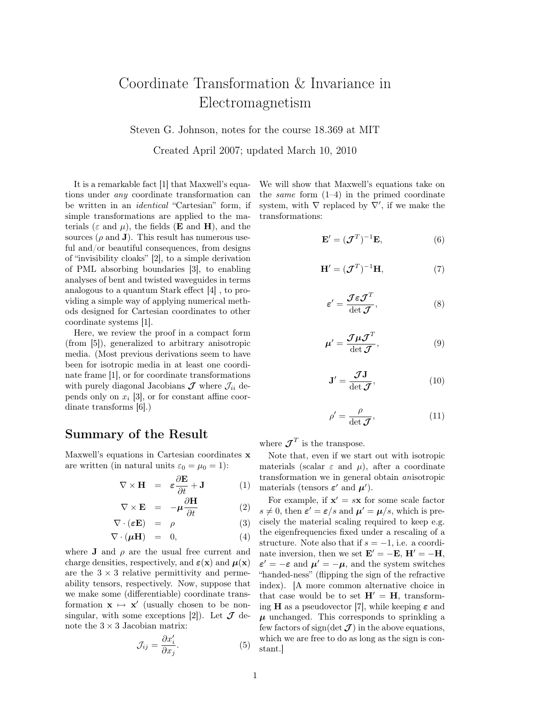## Coordinate Transformation & Invariance in Electromagnetism

Steven G. Johnson, notes for the course 18.369 at MIT

Created April 2007; updated March 10, 2010

It is a remarkable fact [1] that Maxwell's equations under any coordinate transformation can be written in an identical "Cartesian" form, if simple transformations are applied to the materials ( $\varepsilon$  and  $\mu$ ), the fields (**E** and **H**), and the sources  $(\rho \text{ and } \mathbf{J})$ . This result has numerous useful and/or beautiful consequences, from designs of "invisibility cloaks" [2], to a simple derivation of PML absorbing boundaries [3], to enabling analyses of bent and twisted waveguides in terms analogous to a quantum Stark effect [4] , to providing a simple way of applying numerical methods designed for Cartesian coordinates to other coordinate systems [1].

Here, we review the proof in a compact form (from [5]), generalized to arbitrary anisotropic media. (Most previous derivations seem to have been for isotropic media in at least one coordinate frame [1], or for coordinate transformations with purely diagonal Jacobians  $\mathcal J$  where  $\mathcal J_{ii}$  depends only on  $x_i$  [3], or for constant affine coordinate transforms [6].)

## Summary of the Result

Maxwell's equations in Cartesian coordinates x are written (in natural units  $\varepsilon_0 = \mu_0 = 1$ ):

$$
\nabla \times \mathbf{H} = \varepsilon \frac{\partial \mathbf{E}}{\partial t} + \mathbf{J} \tag{1}
$$

$$
\nabla \times \mathbf{E} = -\mu \frac{\partial \mathbf{H}}{\partial t} \tag{2}
$$

$$
\nabla \cdot (\varepsilon \mathbf{E}) = \rho \tag{3}
$$
  

$$
\nabla \cdot (\mu \mathbf{H}) = 0, \tag{4}
$$

where **J** and  $\rho$  are the usual free current and charge densities, respectively, and  $\varepsilon(\mathbf{x})$  and  $\mu(\mathbf{x})$ are the  $3 \times 3$  relative permittivity and permeability tensors, respectively. Now, suppose that we make some (differentiable) coordinate transformation  $\mathbf{x} \mapsto \mathbf{x}'$  (usually chosen to be nonsingular, with some exceptions [2]). Let  $\mathcal J$  denote the  $3 \times 3$  Jacobian matrix:

$$
\mathcal{J}_{ij} = \frac{\partial x_i'}{\partial x_j}.
$$
 (5)

We will show that Maxwell's equations take on the *same* form  $(1-4)$  in the primed coordinate system, with  $\nabla$  replaced by  $\nabla'$ , if we make the transformations:

$$
\mathbf{E}' = (\mathcal{J}^T)^{-1}\mathbf{E},\tag{6}
$$

$$
\mathbf{H}' = (\mathcal{J}^T)^{-1}\mathbf{H},\tag{7}
$$

$$
\varepsilon' = \frac{\mathcal{J}\varepsilon \mathcal{J}^T}{\det \mathcal{J}},\tag{8}
$$

$$
\mu' = \frac{\mathcal{J}\mu\mathcal{J}^T}{\det \mathcal{J}},\tag{9}
$$

$$
\mathbf{J}' = \frac{\mathcal{J}\mathbf{J}}{\det \mathcal{J}},\tag{10}
$$

$$
\rho' = \frac{\rho}{\det \mathcal{J}},\tag{11}
$$

where  $\mathcal{J}^T$  is the transpose.

Note that, even if we start out with isotropic materials (scalar  $\varepsilon$  and  $\mu$ ), after a coordinate transformation we in general obtain anisotropic materials (tensors  $\varepsilon'$  and  $\mu'$ ).

For example, if  $x' = s x$  for some scale factor  $s \neq 0$ , then  $\varepsilon' = \varepsilon/s$  and  $\mu' = \mu/s$ , which is precisely the material scaling required to keep e.g. the eigenfrequencies fixed under a rescaling of a structure. Note also that if  $s = -1$ , i.e. a coordinate inversion, then we set  $\mathbf{E}' = -\mathbf{E}$ ,  $\mathbf{H}' = -\mathbf{H}$ ,  $\varepsilon' = -\varepsilon$  and  $\mu' = -\mu$ , and the system switches "handed-ness" (flipping the sign of the refractive index). [A more common alternative choice in that case would be to set  $H' = H$ , transforming **H** as a pseudovector [7], while keeping  $\varepsilon$  and  $\mu$  unchanged. This corresponds to sprinkling a few factors of sign(det  $J$ ) in the above equations, which we are free to do as long as the sign is constant.]